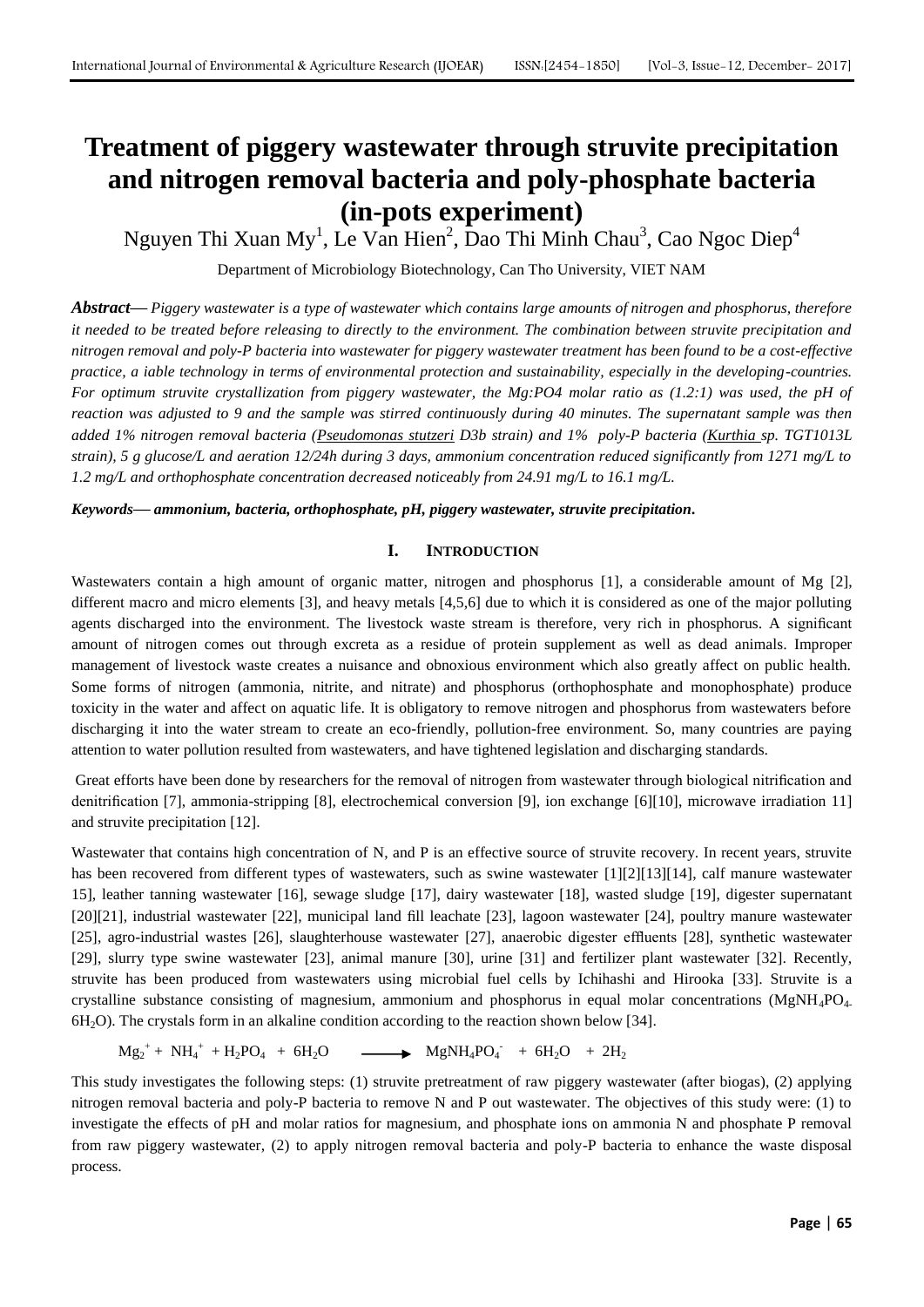# **Treatment of piggery wastewater through struvite precipitation and nitrogen removal bacteria and poly-phosphate bacteria (in-pots experiment)**

Nguyen Thi Xuan My<sup>1</sup>, Le Van Hien<sup>2</sup>, Dao Thi Minh Chau<sup>3</sup>, Cao Ngoc Diep<sup>4</sup>

Department of Microbiology Biotechnology, Can Tho University, VIET NAM

*Abstract***—** *Piggery wastewater is a type of wastewater which contains large amounts of nitrogen and phosphorus, therefore it needed to be treated before releasing to directly to the environment. The combination between struvite precipitation and nitrogen removal and poly-P bacteria into wastewater for piggery wastewater treatment has been found to be a cost-effective practice, a iable technology in terms of environmental protection and sustainability, especially in the developing-countries. For optimum struvite crystallization from piggery wastewater, the Mg:PO4 molar ratio as (1.2:1) was used, the pH of reaction was adjusted to 9 and the sample was stirred continuously during 40 minutes. The supernatant sample was then added 1% nitrogen removal bacteria (Pseudomonas stutzeri D3b strain) and 1% poly-P bacteria (Kurthia sp. TGT1013L strain), 5 g glucose/L and aeration 12/24h during 3 days, ammonium concentration reduced significantly from 1271 mg/L to 1.2 mg/L and orthophosphate concentration decreased noticeably from 24.91 mg/L to 16.1 mg/L.*

*Keywords***—** *ammonium, bacteria, orthophosphate, pH, piggery wastewater, struvite precipitation.*

# **I. INTRODUCTION**

Wastewaters contain a high amount of organic matter, nitrogen and phosphorus [1], a considerable amount of Mg [2], different macro and micro elements [3], and heavy metals [4,5,6] due to which it is considered as one of the major polluting agents discharged into the environment. The livestock waste stream is therefore, very rich in phosphorus. A significant amount of nitrogen comes out through excreta as a residue of protein supplement as well as dead animals. Improper management of livestock waste creates a nuisance and obnoxious environment which also greatly affect on public health. Some forms of nitrogen (ammonia, nitrite, and nitrate) and phosphorus (orthophosphate and monophosphate) produce toxicity in the water and affect on aquatic life. It is obligatory to remove nitrogen and phosphorus from wastewaters before discharging it into the water stream to create an eco-friendly, pollution-free environment. So, many countries are paying attention to water pollution resulted from wastewaters, and have tightened legislation and discharging standards.

Great efforts have been done by researchers for the removal of nitrogen from wastewater through biological nitrification and denitrification [7], ammonia-stripping [8], electrochemical conversion [9], ion exchange [6][10], microwave irradiation 11] and struvite precipitation [12].

Wastewater that contains high concentration of N, and P is an effective source of struvite recovery. In recent years, struvite has been recovered from different types of wastewaters, such as swine wastewater [1][2][13][14], calf manure wastewater 15], leather tanning wastewater [16], sewage sludge [17], dairy wastewater [18], wasted sludge [19], digester supernatant [20][21], industrial wastewater [22], municipal land fill leachate [23], lagoon wastewater [24], poultry manure wastewater [25], agro-industrial wastes [26], slaughterhouse wastewater [27], anaerobic digester effluents [28], synthetic wastewater [29], slurry type swine wastewater [23], animal manure [30], urine [31] and fertilizer plant wastewater [32]. Recently, struvite has been produced from wastewaters using microbial fuel cells by Ichihashi and Hirooka [33]. Struvite is a crystalline substance consisting of magnesium, ammonium and phosphorus in equal molar concentrations (MgNH<sub>4</sub>PO<sub>4</sub>. 6H2O). The crystals form in an alkaline condition according to the reaction shown below [34].

 $Mg_2^+ + NH_4^+ + H_2PO_4 + 6H_2O$   $\longrightarrow$   $MgNH_4PO_4^- + 6H_2O + 2H_2$ 

This study investigates the following steps: (1) struvite pretreatment of raw piggery wastewater (after biogas), (2) applying nitrogen removal bacteria and poly-P bacteria to remove N and P out wastewater. The objectives of this study were: (1) to investigate the effects of pH and molar ratios for magnesium, and phosphate ions on ammonia N and phosphate P removal from raw piggery wastewater, (2) to apply nitrogen removal bacteria and poly-P bacteria to enhance the waste disposal process.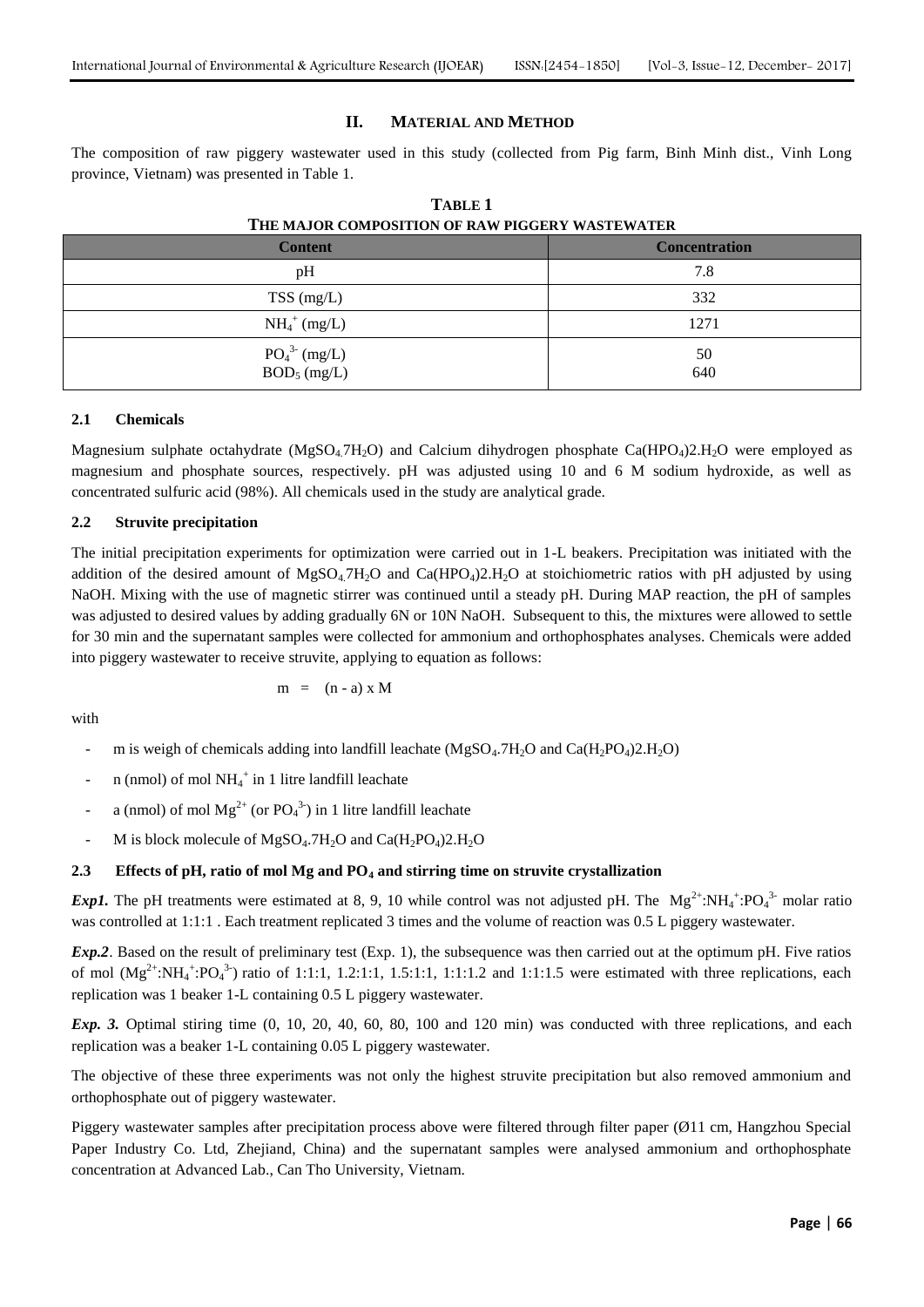#### **II. MATERIAL AND METHOD**

The composition of raw piggery wastewater used in this study (collected from Pig farm, Binh Minh dist., Vinh Long province, Vietnam) was presented in Table 1.

| THE MAJOR COMI OBITION OF RAW FROUGHT WABTEWATER |                      |  |  |
|--------------------------------------------------|----------------------|--|--|
| <b>Content</b>                                   | <b>Concentration</b> |  |  |
| pH                                               | 7.8                  |  |  |
| $TSS$ (mg/L)                                     | 332                  |  |  |
| $NH_4^+$ (mg/L)                                  | 1271                 |  |  |
| $PO_4^3$ (mg/L)<br>$BOD_5$ (mg/L)                | 50<br>640            |  |  |

| <b>TABLE 1</b>                                  |  |  |  |  |
|-------------------------------------------------|--|--|--|--|
| THE MAJOR COMPOSITION OF RAW PIGGERY WASTEWATER |  |  |  |  |

## **2.1 Chemicals**

Magnesium sulphate octahydrate (MgSO<sub>4</sub>.7H<sub>2</sub>O) and Calcium dihydrogen phosphate Ca(HPO<sub>4</sub>)2.H<sub>2</sub>O were employed as magnesium and phosphate sources, respectively. pH was adjusted using 10 and 6 M sodium hydroxide, as well as concentrated sulfuric acid (98%). All chemicals used in the study are analytical grade.

#### **2.2 Struvite precipitation**

The initial precipitation experiments for optimization were carried out in 1-L beakers. Precipitation was initiated with the addition of the desired amount of MgSO<sub>4</sub>.7H<sub>2</sub>O and Ca(HPO<sub>4</sub>)2.H<sub>2</sub>O at stoichiometric ratios with pH adjusted by using NaOH. Mixing with the use of magnetic stirrer was continued until a steady pH. During MAP reaction, the pH of samples was adjusted to desired values by adding gradually 6N or 10N NaOH. Subsequent to this, the mixtures were allowed to settle for 30 min and the supernatant samples were collected for ammonium and orthophosphates analyses. Chemicals were added into piggery wastewater to receive struvite, applying to equation as follows:

$$
m = (n - a) \times M
$$

with

- m is weigh of chemicals adding into landfill leachate (MgSO<sub>4</sub>.7H<sub>2</sub>O and Ca(H<sub>2</sub>PO<sub>4</sub>)2.H<sub>2</sub>O)
- n (nmol) of mol  $NH_4^+$  in 1 litre landfill leachate
- a (nmol) of mol  $Mg^{2+}$  (or  $PO_4^{3-}$ ) in 1 litre landfill leachate
- M is block molecule of  $MgSO_4.7H_2O$  and  $Ca(H_2PO_4)2.H_2O$

#### **2.3 Effects of pH, ratio of mol Mg and PO<sup>4</sup> and stirring time on struvite crystallization**

*Exp1*. The pH treatments were estimated at 8, 9, 10 while control was not adjusted pH. The  $Mg^{2+} : NH_4^+ : PO_4^{3-}$  molar ratio was controlled at 1:1:1. Each treatment replicated 3 times and the volume of reaction was 0.5 L piggery wastewater.

*Exp.2*. Based on the result of preliminary test (Exp. 1), the subsequence was then carried out at the optimum pH. Five ratios of mol  $(Mg^{2+} : NH_4^* : PO_4^3)$  ratio of 1:1:1, 1.2:1:1, 1.5:1:1, 1:1:1.2 and 1:1:1.5 were estimated with three replications, each replication was 1 beaker 1-L containing 0.5 L piggery wastewater.

*Exp. 3.* Optimal stiring time (0, 10, 20, 40, 60, 80, 100 and 120 min) was conducted with three replications, and each replication was a beaker 1-L containing 0.05 L piggery wastewater.

The objective of these three experiments was not only the highest struvite precipitation but also removed ammonium and orthophosphate out of piggery wastewater.

Piggery wastewater samples after precipitation process above were filtered through filter paper (Ø11 cm, Hangzhou Special Paper Industry Co. Ltd, Zhejiand, China) and the supernatant samples were analysed ammonium and orthophosphate concentration at Advanced Lab., Can Tho University, Vietnam.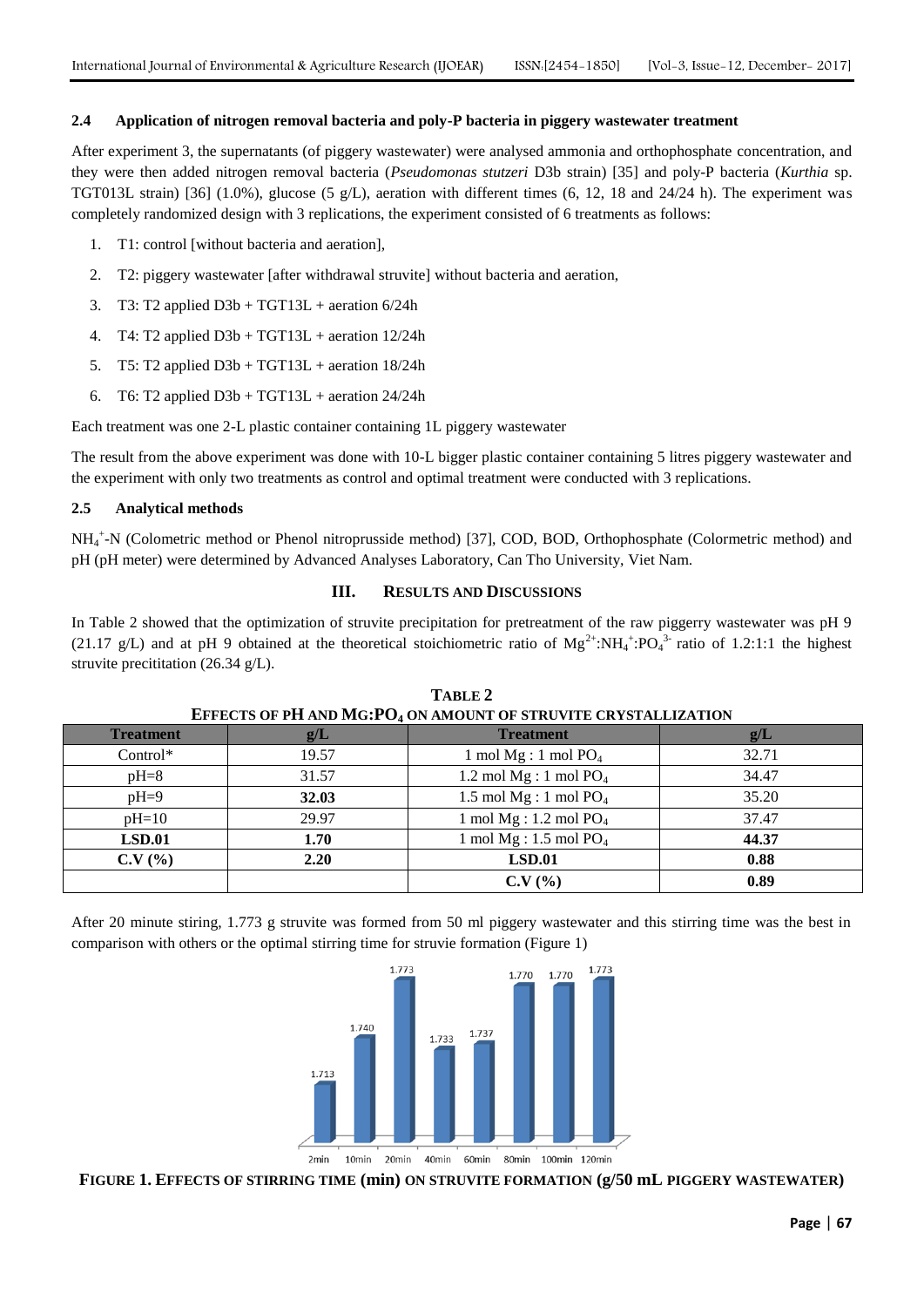## **2.4 Application of nitrogen removal bacteria and poly-P bacteria in piggery wastewater treatment**

After experiment 3, the supernatants (of piggery wastewater) were analysed ammonia and orthophosphate concentration, and they were then added nitrogen removal bacteria (*Pseudomonas stutzeri* D3b strain) [35] and poly-P bacteria (*Kurthia* sp. TGT013L strain) [36] (1.0%), glucose (5 g/L), aeration with different times (6, 12, 18 and 24/24 h). The experiment was completely randomized design with 3 replications, the experiment consisted of 6 treatments as follows:

- 1. T1: control [without bacteria and aeration],
- 2. T2: piggery wastewater [after withdrawal struvite] without bacteria and aeration,
- 3. T3: T2 applied  $D3b + TGT13L +$  aeration  $6/24h$
- 4. T4: T2 applied  $D3b + TGT13L +$  aeration  $12/24h$
- 5. T5: T2 applied  $D3b + TGT13L +$  aeration 18/24h
- 6. T6: T2 applied  $D3b + TGT13L +$  aeration 24/24h

Each treatment was one 2-L plastic container containing 1L piggery wastewater

The result from the above experiment was done with 10-L bigger plastic container containing 5 litres piggery wastewater and the experiment with only two treatments as control and optimal treatment were conducted with 3 replications.

## **2.5 Analytical methods**

NH<sup>4</sup> + -N (Colometric method or Phenol nitroprusside method) [37], COD, BOD, Orthophosphate (Colormetric method) and pH (pH meter) were determined by Advanced Analyses Laboratory, Can Tho University, Viet Nam.

# **III. RESULTS AND DISCUSSIONS**

In Table 2 showed that the optimization of struvite precipitation for pretreatment of the raw piggerry wastewater was pH 9 (21.17 g/L) and at pH 9 obtained at the theoretical stoichiometric ratio of  $Mg^{2+} : NH_4^+ : PO_4^{3-}$  ratio of 1.2:1:1 the highest struvite precititation (26.34 g/L).

| EFFECTS OF FILARD MIGH OF SHOUNT OF STRUVILE CRISIALLIZATION |       |                           |       |
|--------------------------------------------------------------|-------|---------------------------|-------|
| <b>Treatment</b>                                             | g/L   | <b>Treatment</b>          | g/L   |
| Control*                                                     | 19.57 | 1 mol $Mg: 1$ mol $PO4$   | 32.71 |
| $pH=8$                                                       | 31.57 | 1.2 mol $Mg: 1$ mol $PO4$ | 34.47 |
| $pH=9$                                                       | 32.03 | 1.5 mol $Mg:1$ mol $PO4$  | 35.20 |
| $pH=10$                                                      | 29.97 | 1 mol $Mg: 1.2$ mol $PO4$ | 37.47 |
| LSD.01                                                       | 1.70  | 1 mol $Mg: 1.5$ mol $PO4$ | 44.37 |
| C.V(%)                                                       | 2.20  | LSD.01                    | 0.88  |
|                                                              |       | $C.V.$ $\frac{O}{O}$      | 0.89  |

**TABLE 2 EFFECTS OF PH AND MG:PO<sup>4</sup> ON AMOUNT OF STRUVITE CRYSTALLIZATION**

After 20 minute stiring, 1.773 g struvite was formed from 50 ml piggery wastewater and this stirring time was the best in comparison with others or the optimal stirring time for struvie formation (Figure 1)



**FIGURE 1. EFFECTS OF STIRRING TIME (min) ON STRUVITE FORMATION (g/50 mL PIGGERY WASTEWATER)**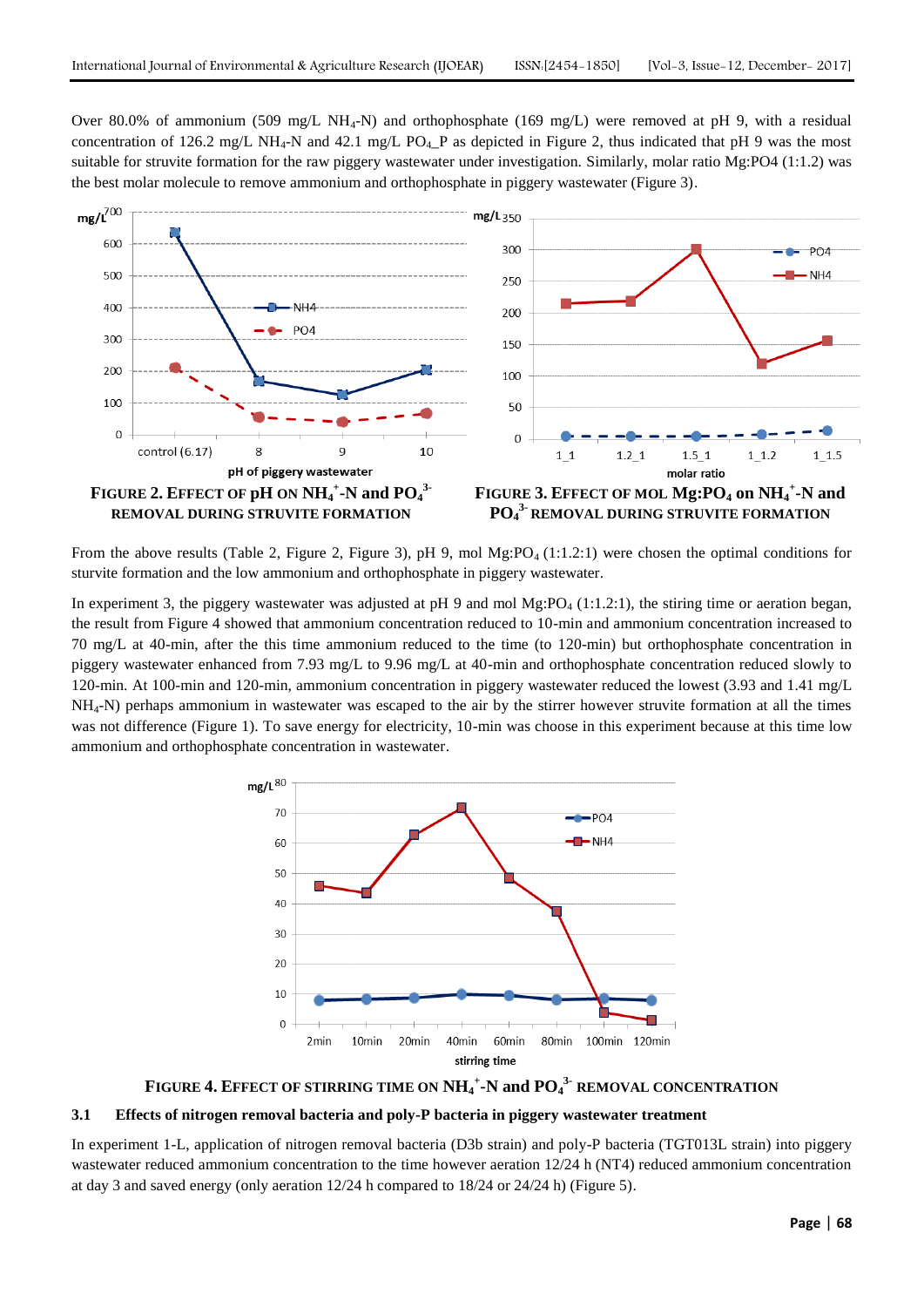Over 80.0% of ammonium (509 mg/L NH<sub>4</sub>-N) and orthophosphate (169 mg/L) were removed at pH 9, with a residual concentration of 126.2 mg/L NH<sub>4</sub>-N and 42.1 mg/L PO<sub>4</sub>\_P as depicted in Figure 2, thus indicated that pH 9 was the most suitable for struvite formation for the raw piggery wastewater under investigation. Similarly, molar ratio Mg:PO4 (1:1.2) was the best molar molecule to remove ammonium and orthophosphate in piggery wastewater (Figure 3).



From the above results (Table 2, Figure 2, Figure 3), pH 9, mol Mg:PO<sub>4</sub> (1:1.2:1) were chosen the optimal conditions for sturvite formation and the low ammonium and orthophosphate in piggery wastewater.

In experiment 3, the piggery wastewater was adjusted at pH 9 and mol  $Mg:PO<sub>4</sub>(1:1.2:1)$ , the stiring time or aeration began, the result from Figure 4 showed that ammonium concentration reduced to 10-min and ammonium concentration increased to 70 mg/L at 40-min, after the this time ammonium reduced to the time (to 120-min) but orthophosphate concentration in piggery wastewater enhanced from 7.93 mg/L to 9.96 mg/L at 40-min and orthophosphate concentration reduced slowly to 120-min. At 100-min and 120-min, ammonium concentration in piggery wastewater reduced the lowest (3.93 and 1.41 mg/L  $NH<sub>4</sub>-N$ ) perhaps ammonium in wastewater was escaped to the air by the stirrer however struvite formation at all the times was not difference (Figure 1). To save energy for electricity, 10-min was choose in this experiment because at this time low ammonium and orthophosphate concentration in wastewater.



**FIGURE 4. EFFECT OF STIRRING TIME ON NH<sup>4</sup> + -N and PO<sup>4</sup> 3- REMOVAL CONCENTRATION**

# **3.1 Effects of nitrogen removal bacteria and poly-P bacteria in piggery wastewater treatment**

In experiment 1-L, application of nitrogen removal bacteria (D3b strain) and poly-P bacteria (TGT013L strain) into piggery wastewater reduced ammonium concentration to the time however aeration 12/24 h (NT4) reduced ammonium concentration at day 3 and saved energy (only aeration  $12/24$  h compared to  $18/24$  or  $24/24$  h) (Figure 5).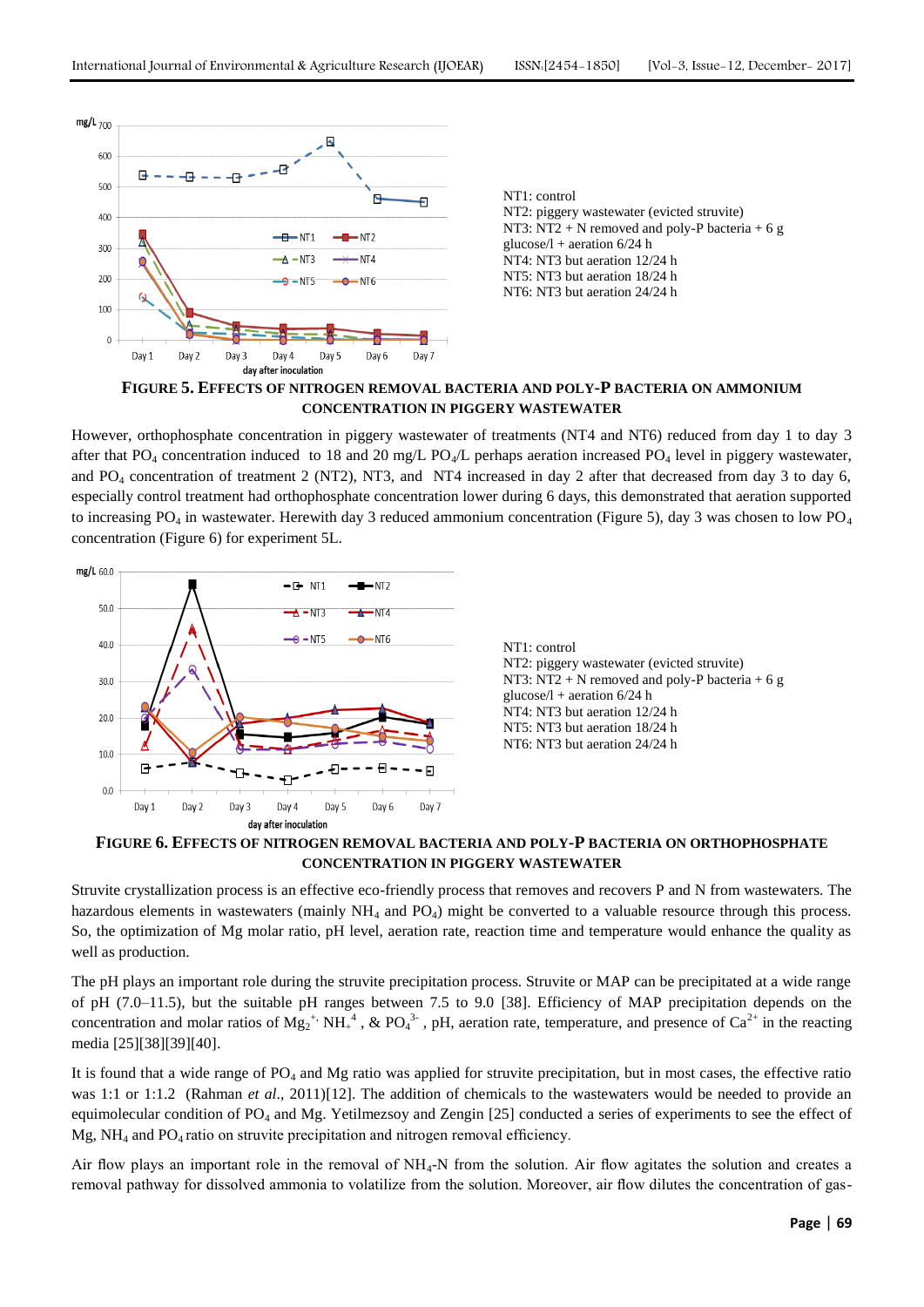

**FIGURE 5. EFFECTS OF NITROGEN REMOVAL BACTERIA AND POLY-P BACTERIA ON AMMONIUM CONCENTRATION IN PIGGERY WASTEWATER**

However, orthophosphate concentration in piggery wastewater of treatments (NT4 and NT6) reduced from day 1 to day 3 after that PO<sub>4</sub> concentration induced to 18 and 20 mg/L PO<sub>4</sub>/L perhaps aeration increased PO<sub>4</sub> level in piggery wastewater, and  $PO_4$  concentration of treatment 2 (NT2), NT3, and NT4 increased in day 2 after that decreased from day 3 to day 6, especially control treatment had orthophosphate concentration lower during 6 days, this demonstrated that aeration supported to increasing  $PO_4$  in wastewater. Herewith day 3 reduced ammonium concentration (Figure 5), day 3 was chosen to low  $PO_4$ concentration (Figure 6) for experiment 5L.



**FIGURE 6. EFFECTS OF NITROGEN REMOVAL BACTERIA AND POLY-P BACTERIA ON ORTHOPHOSPHATE CONCENTRATION IN PIGGERY WASTEWATER**

Struvite crystallization process is an effective eco-friendly process that removes and recovers P and N from wastewaters. The hazardous elements in wastewaters (mainly NH<sub>4</sub> and PO<sub>4</sub>) might be converted to a valuable resource through this process. So, the optimization of Mg molar ratio, pH level, aeration rate, reaction time and temperature would enhance the quality as well as production.

The pH plays an important role during the struvite precipitation process. Struvite or MAP can be precipitated at a wide range of pH (7.0–11.5), but the suitable pH ranges between 7.5 to 9.0 [38]. Efficiency of MAP precipitation depends on the concentration and molar ratios of  $Mg_2^*$ ,  $NH_+^4$ , & PO<sub>4</sub><sup>3</sup>, pH, aeration rate, temperature, and presence of Ca<sup>2+</sup> in the reacting media [25][38][39][40].

It is found that a wide range of PO<sub>4</sub> and Mg ratio was applied for struvite precipitation, but in most cases, the effective ratio was 1:1 or 1:1.2 (Rahman *et al.*, 2011)[12]. The addition of chemicals to the wastewaters would be needed to provide an equimolecular condition of PO<sup>4</sup> and Mg. Yetilmezsoy and Zengin [25] conducted a series of experiments to see the effect of Mg, NH<sub>4</sub> and PO<sub>4</sub> ratio on struvite precipitation and nitrogen removal efficiency.

Air flow plays an important role in the removal of  $NH_4$ -N from the solution. Air flow agitates the solution and creates a removal pathway for dissolved ammonia to volatilize from the solution. Moreover, air flow dilutes the concentration of gas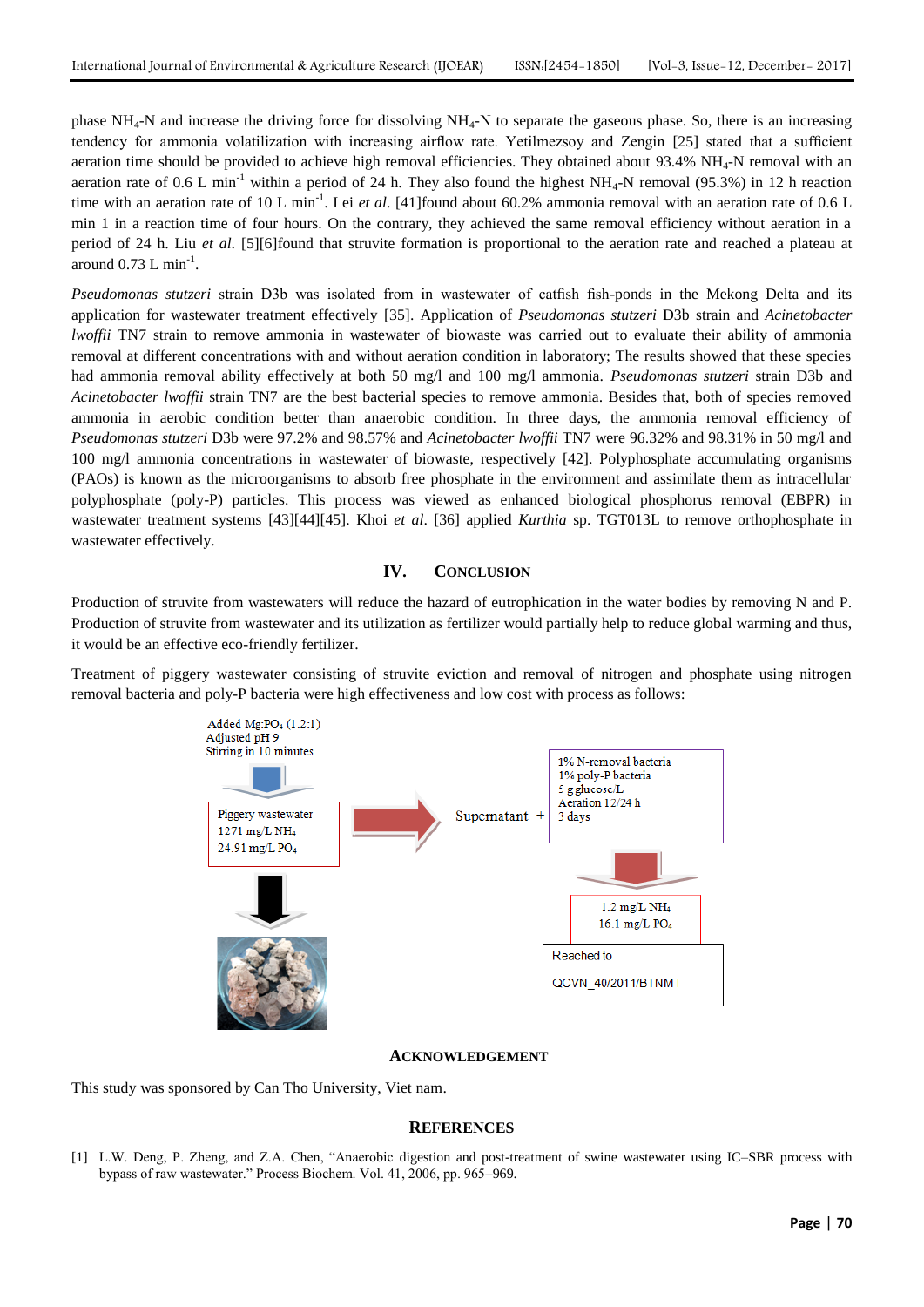phase NH4-N and increase the driving force for dissolving NH4-N to separate the gaseous phase. So, there is an increasing tendency for ammonia volatilization with increasing airflow rate. Yetilmezsoy and Zengin [25] stated that a sufficient aeration time should be provided to achieve high removal efficiencies. They obtained about 93.4% NH<sub>4</sub>-N removal with an aeration rate of 0.6 L min<sup>-1</sup> within a period of 24 h. They also found the highest NH<sub>4</sub>-N removal (95.3%) in 12 h reaction time with an aeration rate of 10 L min<sup>-1</sup>. Lei *et al.* [41] found about 60.2% ammonia removal with an aeration rate of 0.6 L min 1 in a reaction time of four hours. On the contrary, they achieved the same removal efficiency without aeration in a period of 24 h. Liu *et al*. [5][6]found that struvite formation is proportional to the aeration rate and reached a plateau at around  $0.73$  L min<sup>-1</sup>.

*Pseudomonas stutzeri* strain D3b was isolated from in wastewater of catfish fish-ponds in the Mekong Delta and its application for wastewater treatment effectively [35]. Application of *Pseudomonas stutzeri* D3b strain and *Acinetobacter lwoffii* TN7 strain to remove ammonia in wastewater of biowaste was carried out to evaluate their ability of ammonia removal at different concentrations with and without aeration condition in laboratory; The results showed that these species had ammonia removal ability effectively at both 50 mg/l and 100 mg/l ammonia. *Pseudomonas stutzeri* strain D3b and *Acinetobacter lwoffii* strain TN7 are the best bacterial species to remove ammonia. Besides that, both of species removed ammonia in aerobic condition better than anaerobic condition. In three days, the ammonia removal efficiency of *Pseudomonas stutzeri* D3b were 97.2% and 98.57% and *Acinetobacter lwoffii* TN7 were 96.32% and 98.31% in 50 mg/l and 100 mg/l ammonia concentrations in wastewater of biowaste, respectively [42]. Polyphosphate accumulating organisms (PAOs) is known as the microorganisms to absorb free phosphate in the environment and assimilate them as intracellular polyphosphate (poly-P) particles. This process was viewed as enhanced biological phosphorus removal (EBPR) in wastewater treatment systems [43][44][45]. Khoi *et al*. [36] applied *Kurthia* sp. TGT013L to remove orthophosphate in wastewater effectively.

#### **IV. CONCLUSION**

Production of struvite from wastewaters will reduce the hazard of eutrophication in the water bodies by removing N and P. Production of struvite from wastewater and its utilization as fertilizer would partially help to reduce global warming and thus, it would be an effective eco-friendly fertilizer.

Treatment of piggery wastewater consisting of struvite eviction and removal of nitrogen and phosphate using nitrogen removal bacteria and poly-P bacteria were high effectiveness and low cost with process as follows:



#### **ACKNOWLEDGEMENT**

This study was sponsored by Can Tho University, Viet nam.

# **REFERENCES**

[1] L.W. Deng, P. Zheng, and Z.A. Chen, "Anaerobic digestion and post-treatment of swine wastewater using IC–SBR process with bypass of raw wastewater." Process Biochem. Vol. 41, 2006, pp. 965–969.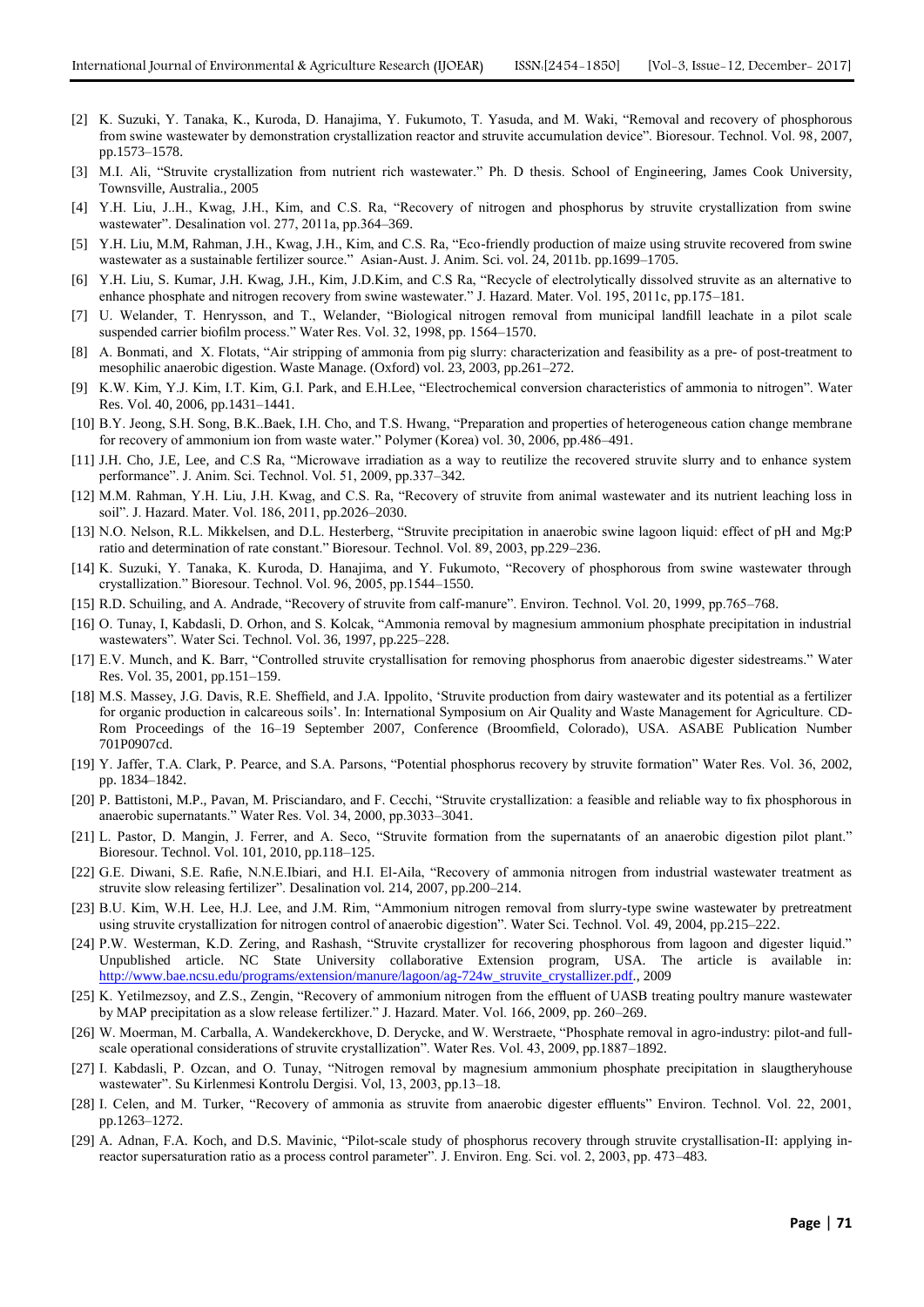- [2] K. Suzuki, Y. Tanaka, K., Kuroda, D. Hanajima, Y. Fukumoto, T. Yasuda, and M. Waki, "Removal and recovery of phosphorous from swine wastewater by demonstration crystallization reactor and struvite accumulation device". Bioresour. Technol. Vol. 98, 2007, pp.1573–1578.
- [3] M.I. Ali, "Struvite crystallization from nutrient rich wastewater." Ph. D thesis. School of Engineering, James Cook University, Townsville, Australia., 2005
- [4] Y.H. Liu, J..H., Kwag, J.H., Kim, and C.S. Ra, "Recovery of nitrogen and phosphorus by struvite crystallization from swine wastewater". Desalination vol. 277, 2011a, pp.364–369.
- [5] Y.H. Liu, M.M, Rahman, J.H., Kwag, J.H., Kim, and C.S. Ra, "Eco-friendly production of maize using struvite recovered from swine wastewater as a sustainable fertilizer source." Asian-Aust. J. Anim. Sci. vol. 24, 2011b. pp.1699–1705.
- [6] Y.H. Liu, S. Kumar, J.H. Kwag, J.H., Kim, J.D.Kim, and C.S Ra, "Recycle of electrolytically dissolved struvite as an alternative to enhance phosphate and nitrogen recovery from swine wastewater." J. Hazard. Mater. Vol. 195, 2011c, pp.175–181.
- [7] U. Welander, T. Henrysson, and T., Welander, "Biological nitrogen removal from municipal landfill leachate in a pilot scale suspended carrier biofilm process." Water Res. Vol. 32, 1998, pp. 1564–1570.
- [8] A. Bonmati, and X. Flotats, "Air stripping of ammonia from pig slurry: characterization and feasibility as a pre- of post-treatment to mesophilic anaerobic digestion. Waste Manage. (Oxford) vol. 23, 2003, pp.261–272.
- [9] K.W. Kim, Y.J. Kim, I.T. Kim, G.I. Park, and E.H.Lee, "Electrochemical conversion characteristics of ammonia to nitrogen". Water Res. Vol. 40, 2006, pp.1431–1441.
- [10] B.Y. Jeong, S.H. Song, B.K..Baek, I.H. Cho, and T.S. Hwang, "Preparation and properties of heterogeneous cation change membrane for recovery of ammonium ion from waste water." Polymer (Korea) vol. 30, 2006, pp.486–491.
- [11] J.H. Cho, J.E, Lee, and C.S Ra, "Microwave irradiation as a way to reutilize the recovered struvite slurry and to enhance system performance". J. Anim. Sci. Technol. Vol. 51, 2009, pp.337–342.
- [12] M.M. Rahman, Y.H. Liu, J.H. Kwag, and C.S. Ra, "Recovery of struvite from animal wastewater and its nutrient leaching loss in soil". J. Hazard. Mater. Vol. 186, 2011, pp.2026–2030.
- [13] N.O. Nelson, R.L. Mikkelsen, and D.L. Hesterberg, "Struvite precipitation in anaerobic swine lagoon liquid: effect of pH and Mg:P ratio and determination of rate constant." Bioresour. Technol. Vol. 89, 2003, pp.229–236.
- [14] K. Suzuki, Y. Tanaka, K. Kuroda, D. Hanajima, and Y. Fukumoto, "Recovery of phosphorous from swine wastewater through crystallization." Bioresour. Technol. Vol. 96, 2005, pp.1544–1550.
- [15] R.D. Schuiling, and A. Andrade, "Recovery of struvite from calf-manure". Environ. Technol. Vol. 20, 1999, pp.765–768.
- [16] O. Tunay, I, Kabdasli, D. Orhon, and S. Kolcak, "Ammonia removal by magnesium ammonium phosphate precipitation in industrial wastewaters". Water Sci. Technol. Vol. 36, 1997, pp.225–228.
- [17] E.V. Munch, and K. Barr, "Controlled struvite crystallisation for removing phosphorus from anaerobic digester sidestreams." Water Res. Vol. 35, 2001, pp.151–159.
- [18] M.S. Massey, J.G. Davis, R.E. Sheffield, and J.A. Ippolito, "Struvite production from dairy wastewater and its potential as a fertilizer for organic production in calcareous soils". In: International Symposium on Air Quality and Waste Management for Agriculture. CD-Rom Proceedings of the 16–19 September 2007, Conference (Broomfield, Colorado), USA. ASABE Publication Number 701P0907cd.
- [19] Y. Jaffer, T.A. Clark, P. Pearce, and S.A. Parsons, "Potential phosphorus recovery by struvite formation" Water Res. Vol. 36, 2002, pp. 1834–1842.
- [20] P. Battistoni, M.P., Pavan, M. Prisciandaro, and F. Cecchi, "Struvite crystallization: a feasible and reliable way to fix phosphorous in anaerobic supernatants." Water Res. Vol. 34, 2000, pp.3033–3041.
- [21] L. Pastor, D. Mangin, J. Ferrer, and A. Seco, "Struvite formation from the supernatants of an anaerobic digestion pilot plant." Bioresour. Technol. Vol. 101, 2010, pp.118–125.
- [22] G.E. Diwani, S.E. Rafie, N.N.E.Ibiari, and H.I. El-Aila, "Recovery of ammonia nitrogen from industrial wastewater treatment as struvite slow releasing fertilizer". Desalination vol. 214, 2007, pp.200–214.
- [23] B.U. Kim, W.H. Lee, H.J. Lee, and J.M. Rim, "Ammonium nitrogen removal from slurry-type swine wastewater by pretreatment using struvite crystallization for nitrogen control of anaerobic digestion". Water Sci. Technol. Vol. 49, 2004, pp.215–222.
- [24] P.W. Westerman, K.D. Zering, and Rashash, "Struvite crystallizer for recovering phosphorous from lagoon and digester liquid." Unpublished article. NC State University collaborative Extension program, USA. The article is available in: [http://www.bae.ncsu.edu/programs/extension/manure/lagoon/ag-724w\\_struvite\\_crystallizer.pdf.](http://www.bae.ncsu.edu/programs/extension/manure/lagoon/ag-724w_struvite_crystallizer.pdf), 2009
- [25] K. Yetilmezsoy, and Z.S., Zengin, "Recovery of ammonium nitrogen from the effluent of UASB treating poultry manure wastewater by MAP precipitation as a slow release fertilizer." J. Hazard. Mater. Vol. 166, 2009, pp. 260–269.
- [26] W. Moerman, M. Carballa, A. Wandekerckhove, D. Derycke, and W. Werstraete, "Phosphate removal in agro-industry: pilot-and fullscale operational considerations of struvite crystallization". Water Res. Vol. 43, 2009, pp.1887–1892.
- [27] I. Kabdasli, P. Ozcan, and O. Tunay, "Nitrogen removal by magnesium ammonium phosphate precipitation in slaugtheryhouse wastewater". Su Kirlenmesi Kontrolu Dergisi. Vol, 13, 2003, pp.13–18.
- [28] I. Celen, and M. Turker, "Recovery of ammonia as struvite from anaerobic digester effluents" Environ. Technol. Vol. 22, 2001, pp.1263–1272.
- [29] A. Adnan, F.A. Koch, and D.S. Mavinic, "Pilot-scale study of phosphorus recovery through struvite crystallisation-II: applying inreactor supersaturation ratio as a process control parameter". J. Environ. Eng. Sci. vol. 2, 2003, pp. 473–483.